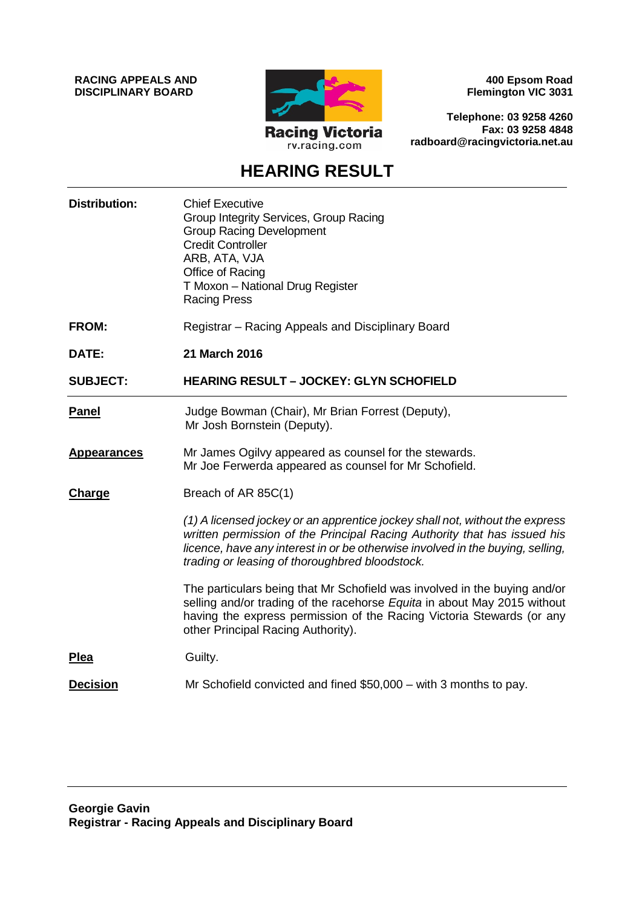**RACING APPEALS AND DISCIPLINARY BOARD**



**400 Epsom Road Flemington VIC 3031**

**Telephone: 03 9258 4260 Fax: 03 9258 4848 radboard@racingvictoria.net.au**

## **HEARING RESULT**

| <b>Distribution:</b> | <b>Chief Executive</b><br>Group Integrity Services, Group Racing<br><b>Group Racing Development</b><br><b>Credit Controller</b><br>ARB, ATA, VJA<br>Office of Racing<br>T Moxon - National Drug Register<br><b>Racing Press</b>                                                              |
|----------------------|----------------------------------------------------------------------------------------------------------------------------------------------------------------------------------------------------------------------------------------------------------------------------------------------|
| <b>FROM:</b>         | Registrar - Racing Appeals and Disciplinary Board                                                                                                                                                                                                                                            |
| DATE:                | 21 March 2016                                                                                                                                                                                                                                                                                |
| <b>SUBJECT:</b>      | <b>HEARING RESULT - JOCKEY: GLYN SCHOFIELD</b>                                                                                                                                                                                                                                               |
| <b>Panel</b>         | Judge Bowman (Chair), Mr Brian Forrest (Deputy),<br>Mr Josh Bornstein (Deputy).                                                                                                                                                                                                              |
| <b>Appearances</b>   | Mr James Ogilvy appeared as counsel for the stewards.<br>Mr Joe Ferwerda appeared as counsel for Mr Schofield.                                                                                                                                                                               |
| Charge               | Breach of AR 85C(1)                                                                                                                                                                                                                                                                          |
|                      | (1) A licensed jockey or an apprentice jockey shall not, without the express<br>written permission of the Principal Racing Authority that has issued his<br>licence, have any interest in or be otherwise involved in the buying, selling,<br>trading or leasing of thoroughbred bloodstock. |
|                      | The particulars being that Mr Schofield was involved in the buying and/or<br>selling and/or trading of the racehorse Equita in about May 2015 without<br>having the express permission of the Racing Victoria Stewards (or any<br>other Principal Racing Authority).                         |
| Plea                 | Guilty.                                                                                                                                                                                                                                                                                      |
| <b>Decision</b>      | Mr Schofield convicted and fined \$50,000 – with 3 months to pay.                                                                                                                                                                                                                            |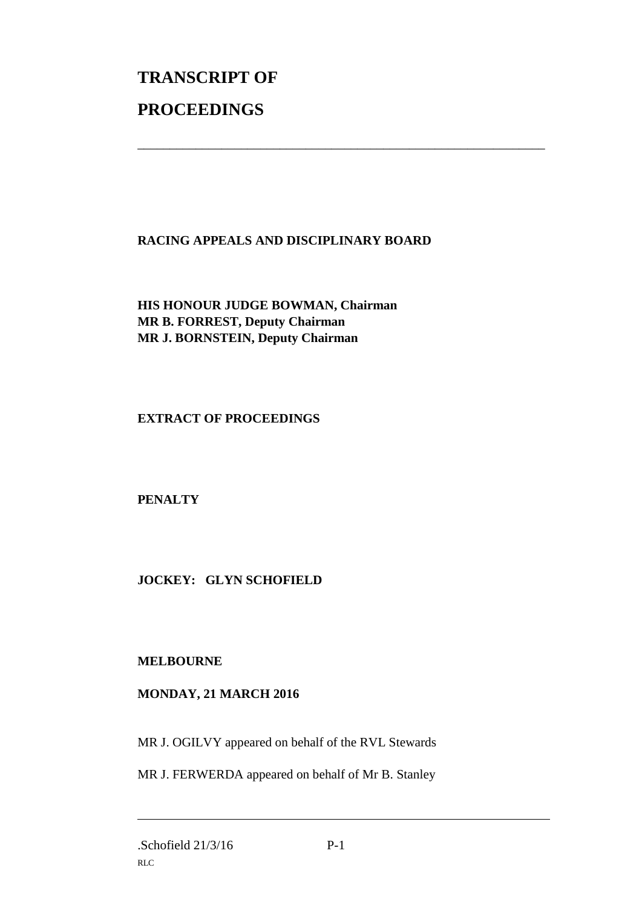# **TRANSCRIPT OF PROCEEDINGS**

### **RACING APPEALS AND DISCIPLINARY BOARD**

\_\_\_\_\_\_\_\_\_\_\_\_\_\_\_\_\_\_\_\_\_\_\_\_\_\_\_\_\_\_\_\_\_\_\_\_\_\_\_\_\_\_\_\_\_\_\_\_\_\_\_\_\_\_\_\_\_\_\_\_\_\_\_

**HIS HONOUR JUDGE BOWMAN, Chairman MR B. FORREST, Deputy Chairman MR J. BORNSTEIN, Deputy Chairman**

**EXTRACT OF PROCEEDINGS**

**PENALTY**

**JOCKEY: GLYN SCHOFIELD**

### **MELBOURNE**

### **MONDAY, 21 MARCH 2016**

MR J. OGILVY appeared on behalf of the RVL Stewards

MR J. FERWERDA appeared on behalf of Mr B. Stanley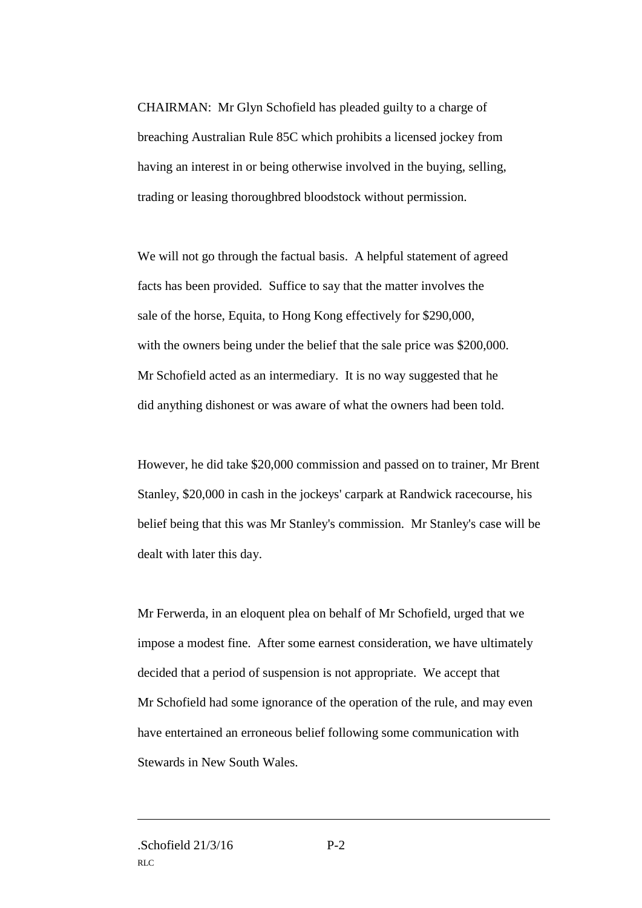CHAIRMAN: Mr Glyn Schofield has pleaded guilty to a charge of breaching Australian Rule 85C which prohibits a licensed jockey from having an interest in or being otherwise involved in the buying, selling, trading or leasing thoroughbred bloodstock without permission.

We will not go through the factual basis. A helpful statement of agreed facts has been provided. Suffice to say that the matter involves the sale of the horse, Equita, to Hong Kong effectively for \$290,000, with the owners being under the belief that the sale price was \$200,000. Mr Schofield acted as an intermediary. It is no way suggested that he did anything dishonest or was aware of what the owners had been told.

However, he did take \$20,000 commission and passed on to trainer, Mr Brent Stanley, \$20,000 in cash in the jockeys' carpark at Randwick racecourse, his belief being that this was Mr Stanley's commission. Mr Stanley's case will be dealt with later this day.

Mr Ferwerda, in an eloquent plea on behalf of Mr Schofield, urged that we impose a modest fine. After some earnest consideration, we have ultimately decided that a period of suspension is not appropriate. We accept that Mr Schofield had some ignorance of the operation of the rule, and may even have entertained an erroneous belief following some communication with Stewards in New South Wales.